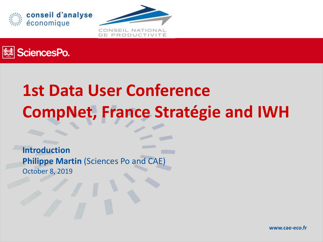





# **1st Data User Conference CompNet, France Stratégie and IWH**

**Introduction Philippe Martin** (Sciences Po and CAE) October 8, 2019

**www.cae-eco.fr**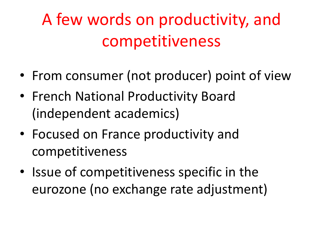## A few words on productivity, and competitiveness

- From consumer (not producer) point of view
- French National Productivity Board (independent academics)
- Focused on France productivity and competitiveness
- Issue of competitiveness specific in the eurozone (no exchange rate adjustment)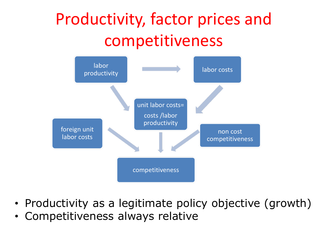### Productivity, factor prices and competitiveness



- Productivity as a legitimate policy objective (growth)
- Competitiveness always relative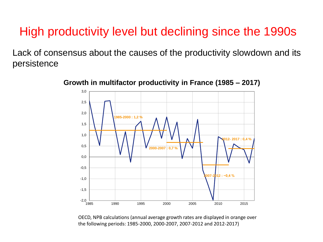#### High productivity level but declining since the 1990s

Lack of consensus about the causes of the productivity slowdown and its persistence



**Growth in multifactor productivity in France (1985 – 2017)**

OECD, NPB calculations (annual average growth rates are displayed in orange over the following periods: 1985-2000, 2000-2007, 2007-2012 and 2012-2017)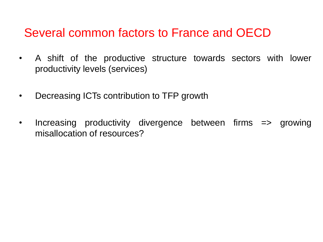#### Several common factors to France and OECD

- A shift of the productive structure towards sectors with lower productivity levels (services)
- Decreasing ICTs contribution to TFP growth
- Increasing productivity divergence between firms => growing misallocation of resources?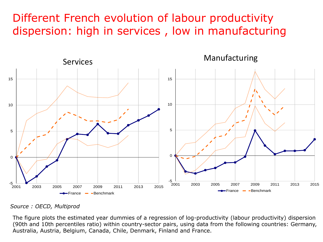Different French evolution of labour productivity dispersion: high in services , low in manufacturing



#### *Source : OECD, Multiprod*

The figure plots the estimated year dummies of a regression of log-productivity (labour productivity) dispersion (90th and 10th percentiles ratio) within country-sector pairs, using data from the following countries: Germany, Australia, Austria, Belgium, Canada, Chile, Denmark, Finland and France.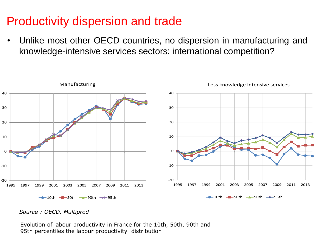### Productivity dispersion and trade

• Unlike most other OECD countries, no dispersion in manufacturing and knowledge-intensive services sectors: international competition?





Evolution of labour productivity in France for the 10th, 50th, 90th and 95th percentiles the labour productivity distribution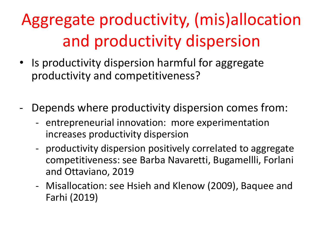## Aggregate productivity, (mis)allocation and productivity dispersion

- Is productivity dispersion harmful for aggregate productivity and competitiveness?
- Depends where productivity dispersion comes from:
	- entrepreneurial innovation: more experimentation increases productivity dispersion
	- productivity dispersion positively correlated to aggregate competitiveness: see Barba Navaretti, Bugamellli, Forlani and Ottaviano, 2019
	- Misallocation: see Hsieh and Klenow (2009), Baquee and Farhi (2019)